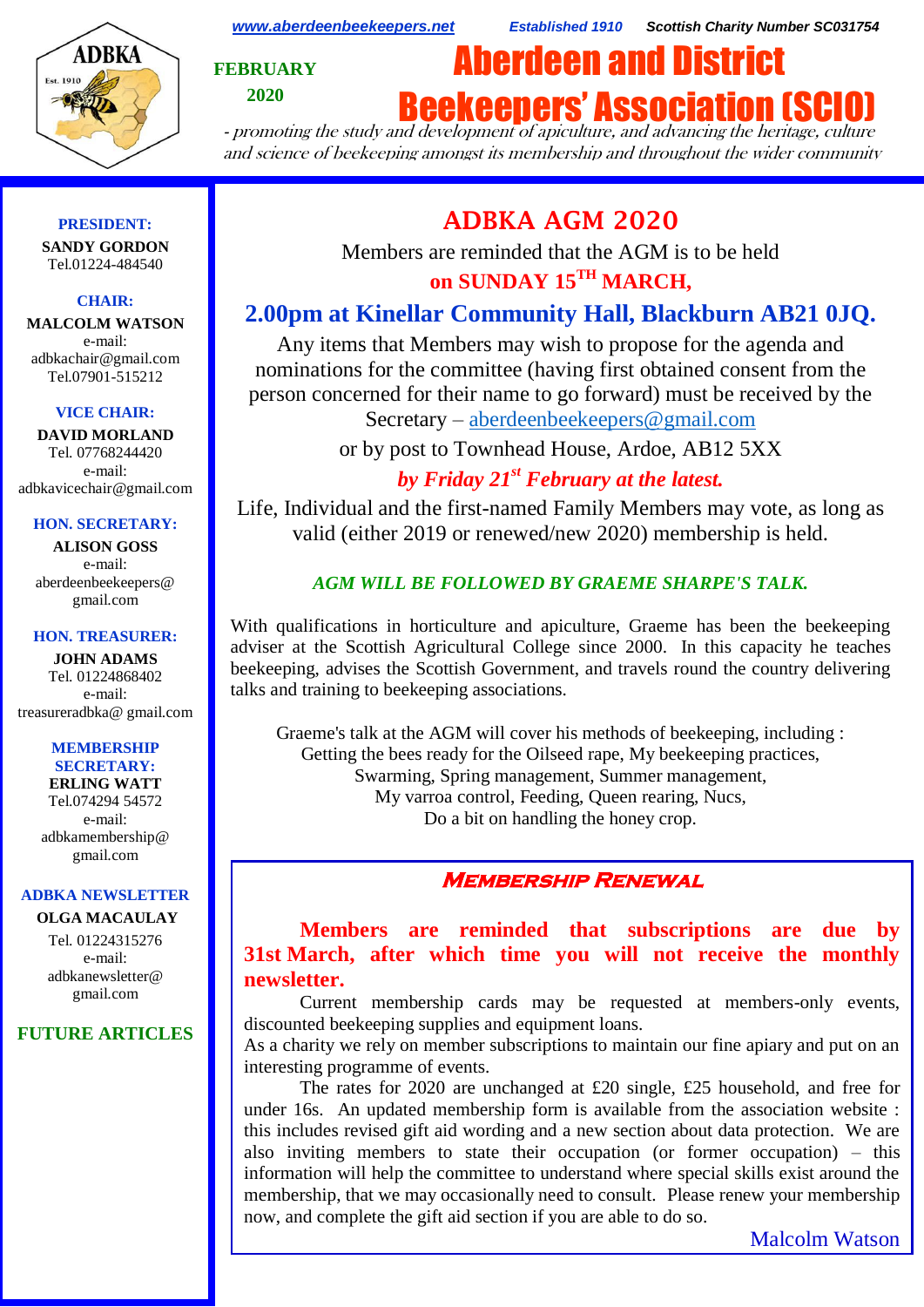

*[www.aberdeenbeekeepers.net](http://www.aberdeenbeekeepers.net/) Established 1910 Scottish Charity Number SC031754*

**FEBRUARY 2020**



- promoting the study and development of apiculture, and advancing the heritage, culture and science of beekeeping amongst its membership and throughout the wider community

### **PRESIDENT:**

**SANDY GORDON** Tel.01224-484540

### **CHAIR:**

**MALCOLM WATSON** e-mail: adbkachair@gmail.com Tel.07901-515212

#### **VICE CHAIR:**

**DAVID MORLAND** Tel. 07768244420 e-mail: adbkavicechair@gmail.com

#### **HON. SECRETARY:**

**ALISON GOSS**  e-mail: aberdeenbeekeepers@ gmail.com

#### **HON. TREASURER:**

**JOHN ADAMS** Tel. 01224868402 e-mail: [treasureradbka@ gmail.com](https://e.mail.ru/compose/?mailto=mailto%3atreasureradbka@gmail.com)

#### **MEMBERSHIP SECRETARY:**

**ERLING WATT** Tel.074294 54572 e-mail: [adbkamembership@](mailto:watterlingg@aol.com) [gmail.com](mailto:watterlingg@aol.com)

## **ADBKA NEWSLETTER**

**OLGA MACAULAY** Tel. 01224315276 e-mail: adbkanewsletter@ gmail.com

## **FUTURE ARTICLES**

# **ADBKA AGM 2020**

Members are reminded that the AGM is to be held **on SUNDAY 15TH MARCH,**

## **2.00pm at Kinellar Community Hall, Blackburn AB21 0JQ.**

Any items that Members may wish to propose for the agenda and nominations for the committee (having first obtained consent from the person concerned for their name to go forward) must be received by the Secretary – [aberdeenbeekeepers@gmail.com](https://e.mail.ru/compose/?mailto=mailto%3aaberdeenbeekeepers@gmail.com)

or by post to Townhead House, Ardoe, AB12 5XX

## *by Friday 21st February at the latest.*

Life, Individual and the first-named Family Members may vote, as long as valid (either 2019 or renewed/new 2020) membership is held.

## *AGM WILL BE FOLLOWED BY GRAEME SHARPE'S TALK.*

With qualifications in horticulture and apiculture, Graeme has been the beekeeping adviser at the Scottish Agricultural College since 2000. In this capacity he teaches beekeeping, advises the Scottish Government, and travels round the country delivering talks and training to beekeeping associations.

Graeme's talk at the AGM will cover his methods of beekeeping, including : Getting the bees ready for the Oilseed rape, My beekeeping practices, Swarming, Spring management, Summer management, My varroa control, Feeding, Queen rearing, Nucs, Do a bit on handling the honey crop.

## **Membership Renewal**

**Members are reminded that subscriptions are due by 31st March, after which time you will not receive the monthly newsletter.**

Current membership cards may be requested at members-only events, discounted beekeeping supplies and equipment loans.

As a charity we rely on member subscriptions to maintain our fine apiary and put on an interesting programme of events.

The rates for 2020 are unchanged at £20 single, £25 household, and free for under 16s. An updated membership form is available from the association website : this includes revised gift aid wording and a new section about data protection. We are also inviting members to state their occupation (or former occupation) – this information will help the committee to understand where special skills exist around the membership, that we may occasionally need to consult. Please renew your membership now, and complete the gift aid section if you are able to do so.

Malcolm Watson

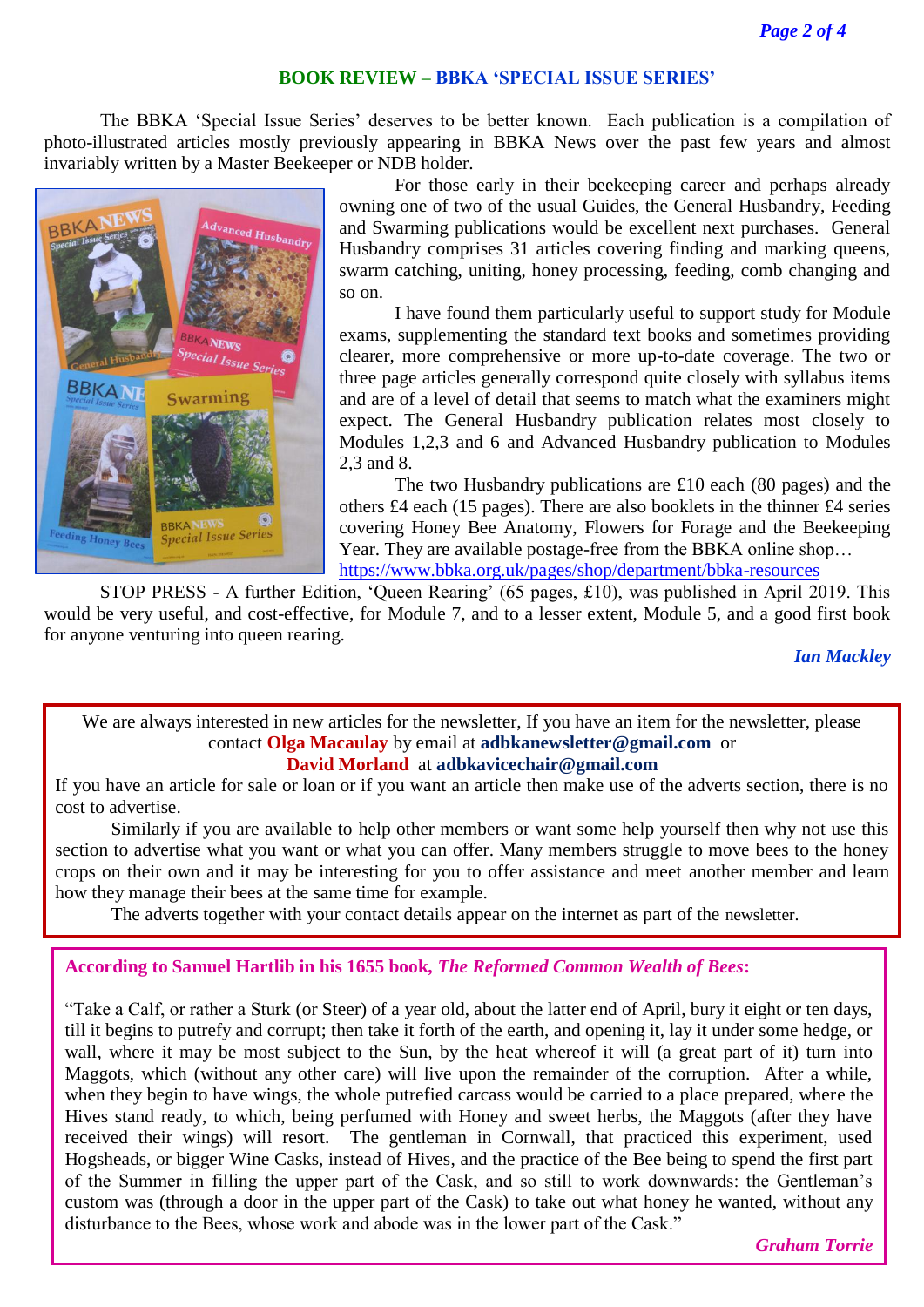### **BOOK REVIEW – BBKA 'SPECIAL ISSUE SERIES'**

The BBKA 'Special Issue Series' deserves to be better known. Each publication is a compilation of photo-illustrated articles mostly previously appearing in BBKA News over the past few years and almost invariably written by a Master Beekeeper or NDB holder.



For those early in their beekeeping career and perhaps already owning one of two of the usual Guides, the General Husbandry, Feeding and Swarming publications would be excellent next purchases. General Husbandry comprises 31 articles covering finding and marking queens, swarm catching, uniting, honey processing, feeding, comb changing and so on.

I have found them particularly useful to support study for Module exams, supplementing the standard text books and sometimes providing clearer, more comprehensive or more up-to-date coverage. The two or three page articles generally correspond quite closely with syllabus items and are of a level of detail that seems to match what the examiners might expect. The General Husbandry publication relates most closely to Modules 1,2,3 and 6 and Advanced Husbandry publication to Modules 2,3 and 8.

The two Husbandry publications are £10 each (80 pages) and the others £4 each (15 pages). There are also booklets in the thinner £4 series covering Honey Bee Anatomy, Flowers for Forage and the Beekeeping Year. They are available postage-free from the BBKA online shop… <https://www.bbka.org.uk/pages/shop/department/bbka-resources>

STOP PRESS - A further Edition, 'Queen Rearing' (65 pages, £10), was published in April 2019. This would be very useful, and cost-effective, for Module 7, and to a lesser extent, Module 5, and a good first book for anyone venturing into queen rearing.

*Ian Mackley*

We are always interested in new articles for the newsletter, If you have an item for the newsletter, please contact **Olga Macaulay** by email at **adbkanewsletter@gmail.com** or

**David Morland** at **adbkavicechair@gmail.com**

If you have an article for sale or loan or if you want an article then make use of the adverts section, there is no cost to advertise.

Similarly if you are available to help other members or want some help yourself then why not use this section to advertise what you want or what you can offer. Many members struggle to move bees to the honey crops on their own and it may be interesting for you to offer assistance and meet another member and learn how they manage their bees at the same time for example.

The adverts together with your contact details appear on the internet as part of the newsletter.

## **According to Samuel Hartlib in his 1655 book,** *The Reformed Common Wealth of Bees***:**

"Take a Calf, or rather a Sturk (or Steer) of a year old, about the latter end of April, bury it eight or ten days, till it begins to putrefy and corrupt; then take it forth of the earth, and opening it, lay it under some hedge, or wall, where it may be most subject to the Sun, by the heat whereof it will (a great part of it) turn into Maggots, which (without any other care) will live upon the remainder of the corruption. After a while, when they begin to have wings, the whole putrefied carcass would be carried to a place prepared, where the Hives stand ready, to which, being perfumed with Honey and sweet herbs, the Maggots (after they have received their wings) will resort. The gentleman in Cornwall, that practiced this experiment, used Hogsheads, or bigger Wine Casks, instead of Hives, and the practice of the Bee being to spend the first part of the Summer in filling the upper part of the Cask, and so still to work downwards: the Gentleman's custom was (through a door in the upper part of the Cask) to take out what honey he wanted, without any disturbance to the Bees, whose work and abode was in the lower part of the Cask."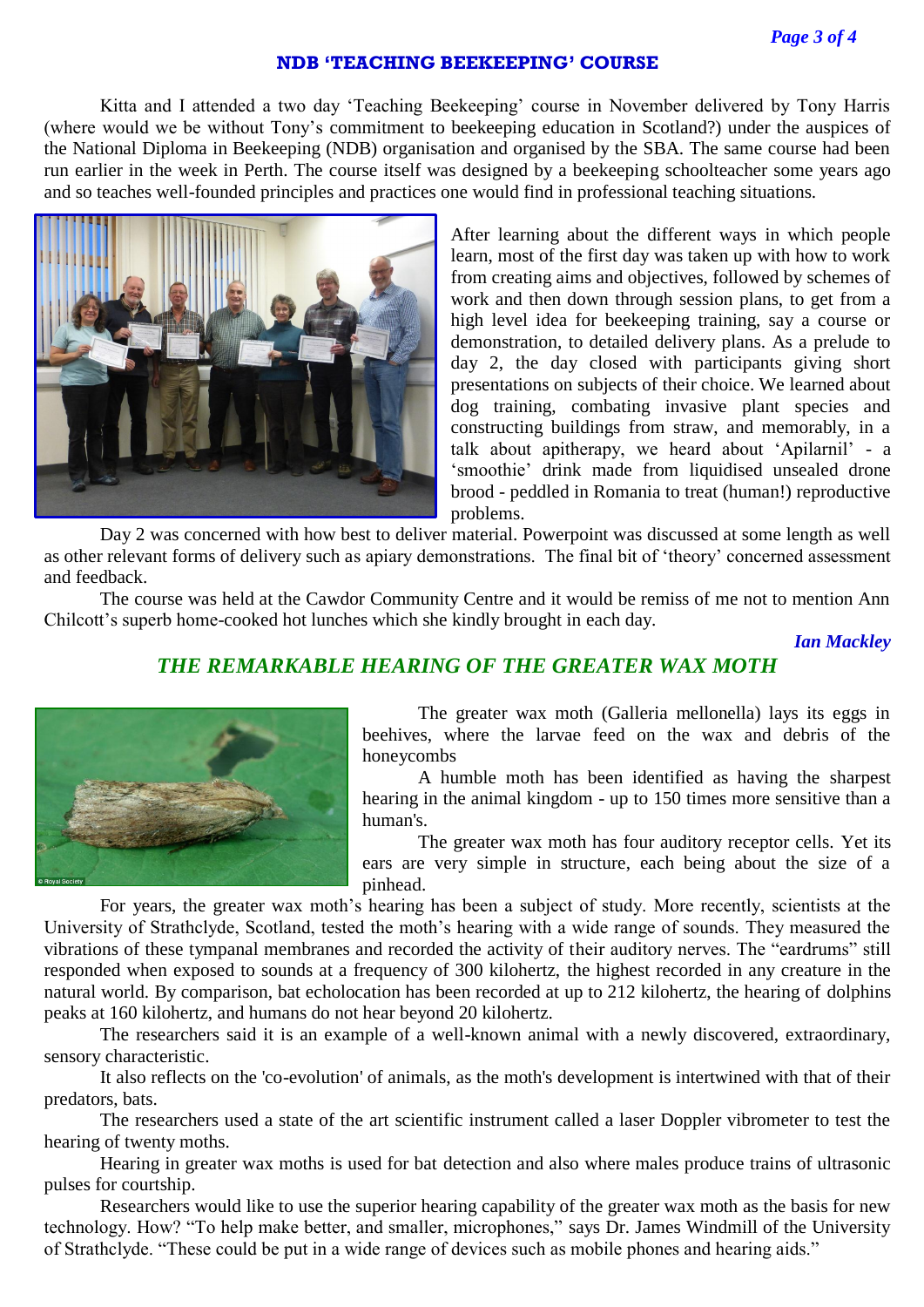### **NDB 'TEACHING BEEKEEPING' COURSE**

Kitta and I attended a two day 'Teaching Beekeeping' course in November delivered by Tony Harris (where would we be without Tony's commitment to beekeeping education in Scotland?) under the auspices of the National Diploma in Beekeeping (NDB) organisation and organised by the SBA. The same course had been run earlier in the week in Perth. The course itself was designed by a beekeeping schoolteacher some years ago and so teaches well-founded principles and practices one would find in professional teaching situations.



After learning about the different ways in which people learn, most of the first day was taken up with how to work from creating aims and objectives, followed by schemes of work and then down through session plans, to get from a high level idea for beekeeping training, say a course or demonstration, to detailed delivery plans. As a prelude to day 2, the day closed with participants giving short presentations on subjects of their choice. We learned about dog training, combating invasive plant species and constructing buildings from straw, and memorably, in a talk about apitherapy, we heard about 'Apilarnil' - a 'smoothie' drink made from liquidised unsealed drone brood - peddled in Romania to treat (human!) reproductive problems.

Day 2 was concerned with how best to deliver material. Powerpoint was discussed at some length as well as other relevant forms of delivery such as apiary demonstrations. The final bit of 'theory' concerned assessment and feedback.

The course was held at the Cawdor Community Centre and it would be remiss of me not to mention Ann Chilcott's superb home-cooked hot lunches which she kindly brought in each day.

*Ian Mackley*

## *THE REMARKABLE HEARING OF THE GREATER WAX MOTH*



The greater wax moth (Galleria mellonella) lays its eggs in beehives, where the larvae feed on the wax and debris of the honeycombs

A humble moth has been identified as having the sharpest hearing in the animal kingdom - up to 150 times more sensitive than a human's.

The greater wax moth has four auditory receptor cells. Yet its ears are very simple in structure, each being about the size of a pinhead.

For years, the greater wax moth's hearing has been a subject of study. More recently, scientists at the University of Strathclyde, Scotland, tested the moth's hearing with a wide range of sounds. They measured the vibrations of these tympanal membranes and recorded the activity of their auditory nerves. The "eardrums" still responded when exposed to sounds at a frequency of 300 kilohertz, the highest recorded in any creature in the natural world. By comparison, bat echolocation has been recorded at up to 212 kilohertz, the hearing of dolphins peaks at 160 kilohertz, and humans do not hear beyond 20 kilohertz.

The researchers said it is an example of a well-known animal with a newly discovered, extraordinary, sensory characteristic.

It also reflects on the 'co-evolution' of animals, as the moth's development is intertwined with that of their predators, bats.

The researchers used a state of the art scientific instrument called a laser Doppler vibrometer to test the hearing of twenty moths.

Hearing in greater wax moths is used for bat detection and also where males produce trains of ultrasonic pulses for courtship.

Researchers would like to use the superior hearing capability of the greater wax moth as the basis for new technology. How? "To help make better, and smaller, microphones," says Dr. James Windmill of the University of Strathclyde. "These could be put in a wide range of devices such as mobile phones and hearing aids."